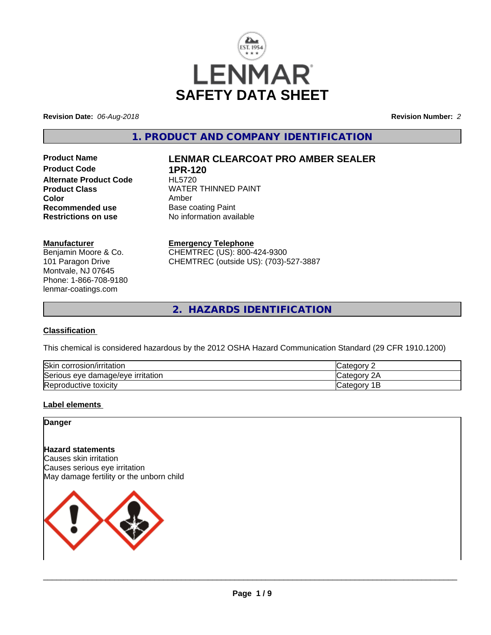

**Revision Date:** *06-Aug-2018* **Revision Number:** *2*

**1. PRODUCT AND COMPANY IDENTIFICATION**

**Product Code 1PR-120<br>Alternate Product Code HL5720 Alternate Product Code Color** Amber<br> **Recommended use** Base c **Recommended use** Base coating Paint<br> **Restrictions on use** No information avai

# **Product Name LENMAR CLEARCOAT PRO AMBER SEALER**

**Product Class WATER THINNED PAINT No information available** 

#### **Manufacturer**

Benjamin Moore & Co. 101 Paragon Drive Montvale, NJ 07645 Phone: 1-866-708-9180 lenmar-coatings.com

# **Emergency Telephone**

CHEMTREC (US): 800-424-9300 CHEMTREC (outside US): (703)-527-3887

**2. HAZARDS IDENTIFICATION**

### **Classification**

This chemical is considered hazardous by the 2012 OSHA Hazard Communication Standard (29 CFR 1910.1200)

| <b>Skir</b><br>corrosion/irritation                      | $\sim$<br>. 16 M                          |
|----------------------------------------------------------|-------------------------------------------|
| `<br>irritation<br>damade/eve •<br><b>Serious</b><br>eve | ົ<br>$\sim$<br>ำ่<br>. 10 H               |
| Reproductive toxicity                                    | ≀aor<br>- 0111<br>Jater <sup>-</sup><br>- |

### **Label elements**

# **Danger**

# **Hazard statements**

Causes skin irritation Causes serious eye irritation May damage fertility or the unborn child

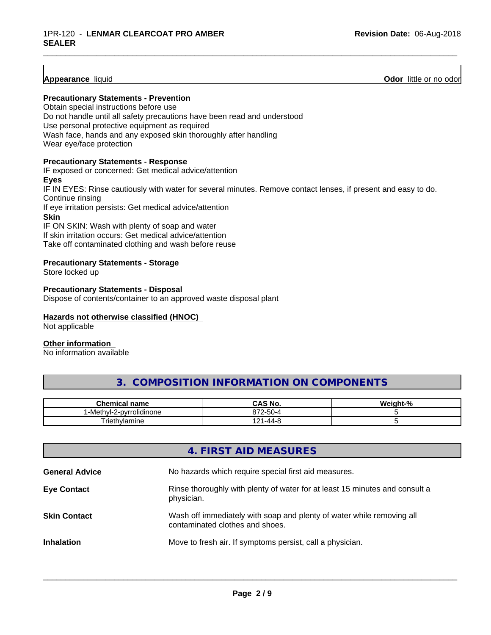**Appearance** liquid **Odor 11 Construction Odor 11 Construction Odor 11 Construction Odor I Construction Odor I Construction Odor I Construction Odor I Construction Odor I Constructio** 

#### **Precautionary Statements - Prevention**

Obtain special instructions before use Do not handle until all safety precautions have been read and understood Use personal protective equipment as required Wash face, hands and any exposed skin thoroughly after handling Wear eye/face protection

#### **Precautionary Statements - Response**

IF exposed or concerned: Get medical advice/attention **Eyes** IF IN EYES: Rinse cautiously with water for several minutes. Remove contact lenses, if present and easy to do. Continue rinsing If eye irritation persists: Get medical advice/attention **Skin** IF ON SKIN: Wash with plenty of soap and water

\_\_\_\_\_\_\_\_\_\_\_\_\_\_\_\_\_\_\_\_\_\_\_\_\_\_\_\_\_\_\_\_\_\_\_\_\_\_\_\_\_\_\_\_\_\_\_\_\_\_\_\_\_\_\_\_\_\_\_\_\_\_\_\_\_\_\_\_\_\_\_\_\_\_\_\_\_\_\_\_\_\_\_\_\_\_\_\_\_\_\_\_\_

If skin irritation occurs: Get medical advice/attention Take off contaminated clothing and wash before reuse

#### **Precautionary Statements - Storage**

Store locked up

#### **Precautionary Statements - Disposal**

Dispose of contents/container to an approved waste disposal plant

#### **Hazards not otherwise classified (HNOC)**

Not applicable

### **Other information**

No information available

# **3. COMPOSITION INFORMATION ON COMPONENTS**

| Chemical<br>name                                    | $\sim$ $\sim$<br>IVU.<br>uno             | $\overline{\phantom{a}}$<br>м.<br>70 |
|-----------------------------------------------------|------------------------------------------|--------------------------------------|
| -pvrro'<br>rolidinone <sup>.</sup><br>∙Metr<br>nvi- | $\sim$<br>07 <sup>o</sup><br>.<br>. JU-′ |                                      |
| $\qquad \qquad$<br>Friethylamine                    | ، ہ<br>$\sim$<br>-44-2<br>$\sim$ $\sim$  |                                      |

|                       | 4. FIRST AID MEASURES                                                                                    |
|-----------------------|----------------------------------------------------------------------------------------------------------|
| <b>General Advice</b> | No hazards which require special first aid measures.                                                     |
| <b>Eye Contact</b>    | Rinse thoroughly with plenty of water for at least 15 minutes and consult a<br>physician.                |
| <b>Skin Contact</b>   | Wash off immediately with soap and plenty of water while removing all<br>contaminated clothes and shoes. |
| <b>Inhalation</b>     | Move to fresh air. If symptoms persist, call a physician.                                                |
|                       |                                                                                                          |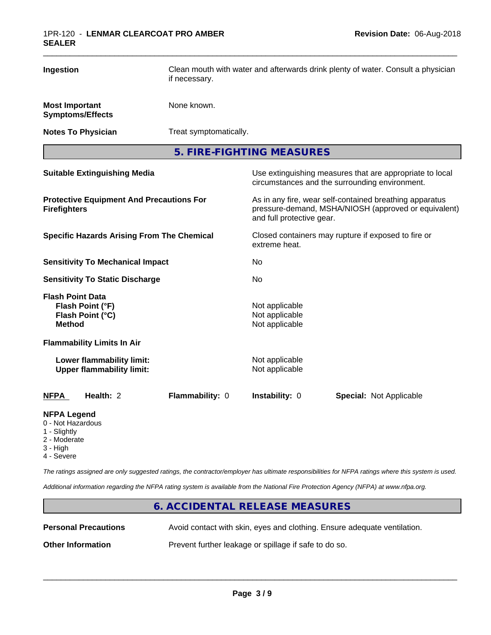| Ingestion                                                                           |                                                               | Clean mouth with water and afterwards drink plenty of water. Consult a physician<br>if necessary. |                                                                                                                 |                                |
|-------------------------------------------------------------------------------------|---------------------------------------------------------------|---------------------------------------------------------------------------------------------------|-----------------------------------------------------------------------------------------------------------------|--------------------------------|
| <b>Most Important</b>                                                               | <b>Symptoms/Effects</b>                                       | None known.                                                                                       |                                                                                                                 |                                |
|                                                                                     | <b>Notes To Physician</b>                                     | Treat symptomatically.                                                                            |                                                                                                                 |                                |
|                                                                                     |                                                               |                                                                                                   | 5. FIRE-FIGHTING MEASURES                                                                                       |                                |
| <b>Suitable Extinguishing Media</b>                                                 |                                                               |                                                                                                   | Use extinguishing measures that are appropriate to local<br>circumstances and the surrounding environment.      |                                |
| <b>Protective Equipment And Precautions For</b><br><b>Firefighters</b>              |                                                               | and full protective gear.                                                                         | As in any fire, wear self-contained breathing apparatus<br>pressure-demand, MSHA/NIOSH (approved or equivalent) |                                |
| <b>Specific Hazards Arising From The Chemical</b>                                   |                                                               | Closed containers may rupture if exposed to fire or<br>extreme heat.                              |                                                                                                                 |                                |
| <b>Sensitivity To Mechanical Impact</b>                                             |                                                               | No                                                                                                |                                                                                                                 |                                |
|                                                                                     | <b>Sensitivity To Static Discharge</b>                        |                                                                                                   | No                                                                                                              |                                |
| <b>Flash Point Data</b><br><b>Method</b>                                            | Flash Point (°F)<br>Flash Point (°C)                          |                                                                                                   | Not applicable<br>Not applicable<br>Not applicable                                                              |                                |
|                                                                                     | <b>Flammability Limits In Air</b>                             |                                                                                                   |                                                                                                                 |                                |
|                                                                                     | Lower flammability limit:<br><b>Upper flammability limit:</b> |                                                                                                   | Not applicable<br>Not applicable                                                                                |                                |
| <b>NFPA</b>                                                                         | Health: 2                                                     | Flammability: 0                                                                                   | Instability: 0                                                                                                  | <b>Special: Not Applicable</b> |
| <b>NFPA Legend</b><br>0 - Not Hazardous<br>1 - Slightly<br>2 - Moderate<br>3 - High |                                                               |                                                                                                   |                                                                                                                 |                                |

4 - Severe

*The ratings assigned are only suggested ratings, the contractor/employer has ultimate responsibilities for NFPA ratings where this system is used.*

*Additional information regarding the NFPA rating system is available from the National Fire Protection Agency (NFPA) at www.nfpa.org.*

# **6. ACCIDENTAL RELEASE MEASURES**

**Personal Precautions** Avoid contact with skin, eyes and clothing. Ensure adequate ventilation.

 $\overline{\phantom{a}}$  ,  $\overline{\phantom{a}}$  ,  $\overline{\phantom{a}}$  ,  $\overline{\phantom{a}}$  ,  $\overline{\phantom{a}}$  ,  $\overline{\phantom{a}}$  ,  $\overline{\phantom{a}}$  ,  $\overline{\phantom{a}}$  ,  $\overline{\phantom{a}}$  ,  $\overline{\phantom{a}}$  ,  $\overline{\phantom{a}}$  ,  $\overline{\phantom{a}}$  ,  $\overline{\phantom{a}}$  ,  $\overline{\phantom{a}}$  ,  $\overline{\phantom{a}}$  ,  $\overline{\phantom{a}}$ 

**Other Information** Prevent further leakage or spillage if safe to do so.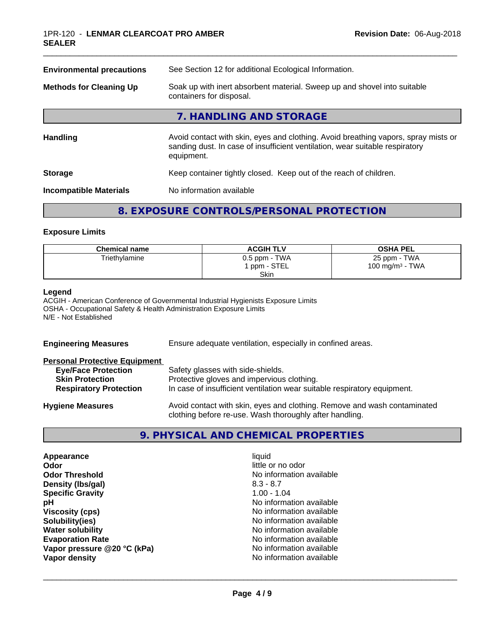| <b>Environmental precautions</b> | See Section 12 for additional Ecological Information.                                                                                                                            |  |
|----------------------------------|----------------------------------------------------------------------------------------------------------------------------------------------------------------------------------|--|
| <b>Methods for Cleaning Up</b>   | Soak up with inert absorbent material. Sweep up and shovel into suitable<br>containers for disposal.                                                                             |  |
|                                  | 7. HANDLING AND STORAGE                                                                                                                                                          |  |
| <b>Handling</b>                  | Avoid contact with skin, eyes and clothing. Avoid breathing vapors, spray mists or<br>sanding dust. In case of insufficient ventilation, wear suitable respiratory<br>equipment. |  |
| <b>Storage</b>                   | Keep container tightly closed. Keep out of the reach of children.                                                                                                                |  |
| <b>Incompatible Materials</b>    | No information available                                                                                                                                                         |  |
|                                  |                                                                                                                                                                                  |  |

\_\_\_\_\_\_\_\_\_\_\_\_\_\_\_\_\_\_\_\_\_\_\_\_\_\_\_\_\_\_\_\_\_\_\_\_\_\_\_\_\_\_\_\_\_\_\_\_\_\_\_\_\_\_\_\_\_\_\_\_\_\_\_\_\_\_\_\_\_\_\_\_\_\_\_\_\_\_\_\_\_\_\_\_\_\_\_\_\_\_\_\_\_

# **8. EXPOSURE CONTROLS/PERSONAL PROTECTION**

#### **Exposure Limits**

| <b>Chemical name</b> | <b>ACGIH TLV</b> | <b>OSHA PEL</b>    |
|----------------------|------------------|--------------------|
| Triethylamine        | $0.5$ ppm - TWA  | 25 ppm - TWA       |
|                      | 1 ppm - STEL     | 100 mg/m $3$ - TWA |
|                      | <b>Skin</b>      |                    |

#### **Legend**

ACGIH - American Conference of Governmental Industrial Hygienists Exposure Limits OSHA - Occupational Safety & Health Administration Exposure Limits N/E - Not Established

| <b>Engineering Measures</b>                                                           | Ensure adequate ventilation, especially in confined areas.                                                                                                  |  |
|---------------------------------------------------------------------------------------|-------------------------------------------------------------------------------------------------------------------------------------------------------------|--|
| <b>Personal Protective Equipment</b>                                                  |                                                                                                                                                             |  |
| <b>Eye/Face Protection</b><br><b>Skin Protection</b><br><b>Respiratory Protection</b> | Safety glasses with side-shields.<br>Protective gloves and impervious clothing.<br>In case of insufficient ventilation wear suitable respiratory equipment. |  |
| <b>Hygiene Measures</b>                                                               | Avoid contact with skin, eyes and clothing. Remove and wash contaminated<br>clothing before re-use. Wash thoroughly after handling.                         |  |

# **9. PHYSICAL AND CHEMICAL PROPERTIES**

| Appearance                  | liquid                   |
|-----------------------------|--------------------------|
| Odor                        | little or no odor        |
| <b>Odor Threshold</b>       | No information available |
| Density (Ibs/gal)           | $8.3 - 8.7$              |
| <b>Specific Gravity</b>     | $1.00 - 1.04$            |
| рH                          | No information available |
| <b>Viscosity (cps)</b>      | No information available |
| Solubility(ies)             | No information available |
| <b>Water solubility</b>     | No information available |
| <b>Evaporation Rate</b>     | No information available |
| Vapor pressure @20 °C (kPa) | No information available |
| Vapor density               | No information available |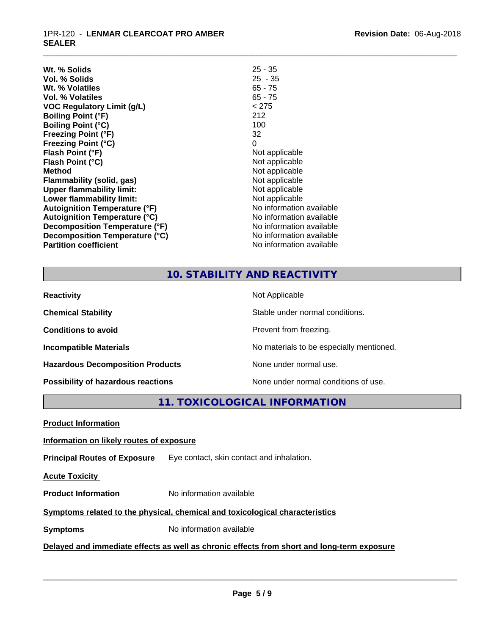#### 1PR-120 - **LENMAR CLEARCOAT PRO AMBER SEALER**

| $25 - 35$                |
|--------------------------|
| $25 - 35$                |
| $65 - 75$                |
| $65 - 75$                |
| < 275                    |
| 212                      |
| 100                      |
| 32                       |
| 0                        |
| Not applicable           |
| Not applicable           |
| Not applicable           |
| Not applicable           |
| Not applicable           |
| Not applicable           |
| No information available |
| No information available |
| No information available |
| No information available |
| No information available |
|                          |

# **10. STABILITY AND REACTIVITY**

\_\_\_\_\_\_\_\_\_\_\_\_\_\_\_\_\_\_\_\_\_\_\_\_\_\_\_\_\_\_\_\_\_\_\_\_\_\_\_\_\_\_\_\_\_\_\_\_\_\_\_\_\_\_\_\_\_\_\_\_\_\_\_\_\_\_\_\_\_\_\_\_\_\_\_\_\_\_\_\_\_\_\_\_\_\_\_\_\_\_\_\_\_

| <b>Reactivity</b>                       | Not Applicable                           |
|-----------------------------------------|------------------------------------------|
| <b>Chemical Stability</b>               | Stable under normal conditions.          |
| <b>Conditions to avoid</b>              | Prevent from freezing.                   |
| <b>Incompatible Materials</b>           | No materials to be especially mentioned. |
| <b>Hazardous Decomposition Products</b> | None under normal use.                   |
| Possibility of hazardous reactions      | None under normal conditions of use.     |

**11. TOXICOLOGICAL INFORMATION**

**Product Information**

#### **Information on likely routes of exposure**

**Principal Routes of Exposure** Eye contact, skin contact and inhalation.

**Acute Toxicity** 

**Product Information** No information available

# **Symptoms related to the physical,chemical and toxicological characteristics**

**Symptoms** No information available

# **Delayed and immediate effects as well as chronic effects from short and long-term exposure**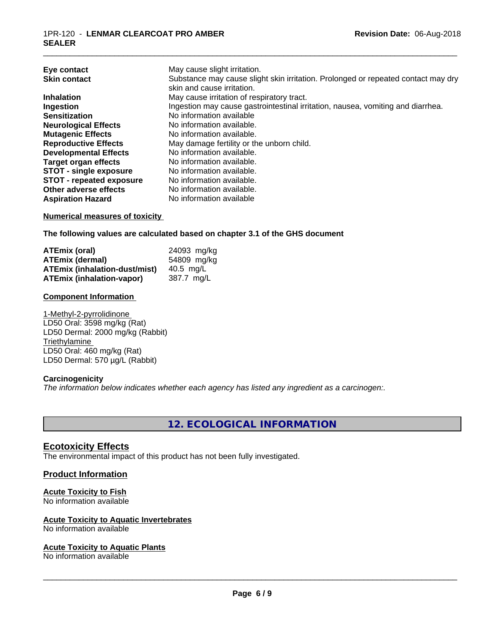| Eye contact<br><b>Skin contact</b> | May cause slight irritation.<br>Substance may cause slight skin irritation. Prolonged or repeated contact may dry<br>skin and cause irritation. |
|------------------------------------|-------------------------------------------------------------------------------------------------------------------------------------------------|
| <b>Inhalation</b>                  | May cause irritation of respiratory tract.                                                                                                      |
| Ingestion                          | Ingestion may cause gastrointestinal irritation, nausea, vomiting and diarrhea.                                                                 |
| <b>Sensitization</b>               | No information available                                                                                                                        |
| <b>Neurological Effects</b>        | No information available.                                                                                                                       |
| <b>Mutagenic Effects</b>           | No information available.                                                                                                                       |
| <b>Reproductive Effects</b>        | May damage fertility or the unborn child.                                                                                                       |
| <b>Developmental Effects</b>       | No information available.                                                                                                                       |
| <b>Target organ effects</b>        | No information available.                                                                                                                       |
| <b>STOT - single exposure</b>      | No information available.                                                                                                                       |
| <b>STOT - repeated exposure</b>    | No information available.                                                                                                                       |
| Other adverse effects              | No information available.                                                                                                                       |
| <b>Aspiration Hazard</b>           | No information available                                                                                                                        |

\_\_\_\_\_\_\_\_\_\_\_\_\_\_\_\_\_\_\_\_\_\_\_\_\_\_\_\_\_\_\_\_\_\_\_\_\_\_\_\_\_\_\_\_\_\_\_\_\_\_\_\_\_\_\_\_\_\_\_\_\_\_\_\_\_\_\_\_\_\_\_\_\_\_\_\_\_\_\_\_\_\_\_\_\_\_\_\_\_\_\_\_\_

#### **Numerical measures of toxicity**

**The following values are calculated based on chapter 3.1 of the GHS document**

| ATEmix (oral)                        | 24093 mg/kg |
|--------------------------------------|-------------|
| <b>ATEmix (dermal)</b>               | 54809 mg/kg |
| <b>ATEmix (inhalation-dust/mist)</b> | 40.5 ma/L   |
| ATEmix (inhalation-vapor)            | 387.7 mg/L  |

#### **Component Information**

1-Methyl-2-pyrrolidinone LD50 Oral: 3598 mg/kg (Rat) LD50 Dermal: 2000 mg/kg (Rabbit) **Triethylamine** LD50 Oral: 460 mg/kg (Rat) LD50 Dermal: 570 µg/L (Rabbit)

#### **Carcinogenicity**

*The information below indicateswhether each agency has listed any ingredient as a carcinogen:.*

**12. ECOLOGICAL INFORMATION**

### **Ecotoxicity Effects**

The environmental impact of this product has not been fully investigated.

#### **Product Information**

#### **Acute Toxicity to Fish**

No information available

#### **Acute Toxicity to Aquatic Invertebrates**

No information available

#### **Acute Toxicity to Aquatic Plants**

No information available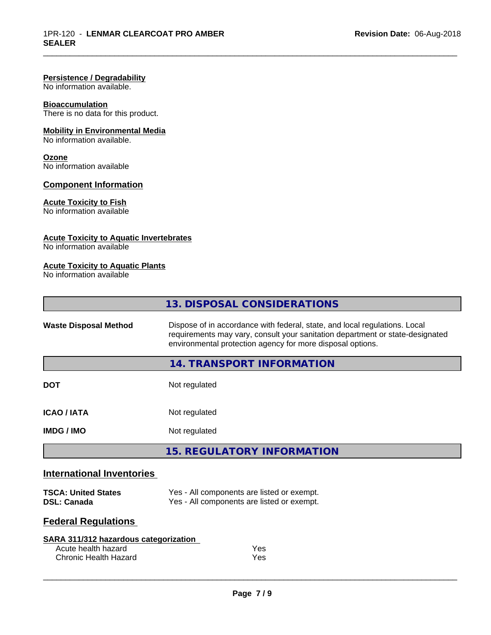#### **Persistence / Degradability**

No information available.

#### **Bioaccumulation**

There is no data for this product.

#### **Mobility in Environmental Media**

No information available.

#### **Ozone**

No information available

#### **Component Information**

#### **Acute Toxicity to Fish**

No information available

#### **Acute Toxicity to Aquatic Invertebrates**

No information available

#### **Acute Toxicity to Aquatic Plants**

No information available

|                                  | 13. DISPOSAL CONSIDERATIONS                                                                                                                                                                                               |
|----------------------------------|---------------------------------------------------------------------------------------------------------------------------------------------------------------------------------------------------------------------------|
| <b>Waste Disposal Method</b>     | Dispose of in accordance with federal, state, and local regulations. Local<br>requirements may vary, consult your sanitation department or state-designated<br>environmental protection agency for more disposal options. |
|                                  | 14. TRANSPORT INFORMATION                                                                                                                                                                                                 |
| <b>DOT</b>                       | Not regulated                                                                                                                                                                                                             |
| <b>ICAO/IATA</b>                 | Not regulated                                                                                                                                                                                                             |
| <b>IMDG / IMO</b>                | Not regulated                                                                                                                                                                                                             |
|                                  | <b>15. REGULATORY INFORMATION</b>                                                                                                                                                                                         |
| <b>International Inventories</b> |                                                                                                                                                                                                                           |

\_\_\_\_\_\_\_\_\_\_\_\_\_\_\_\_\_\_\_\_\_\_\_\_\_\_\_\_\_\_\_\_\_\_\_\_\_\_\_\_\_\_\_\_\_\_\_\_\_\_\_\_\_\_\_\_\_\_\_\_\_\_\_\_\_\_\_\_\_\_\_\_\_\_\_\_\_\_\_\_\_\_\_\_\_\_\_\_\_\_\_\_\_

#### **TSCA: United States** Yes - All components are listed or exempt. **DSL: Canada** Yes - All components are listed or exempt.

# **Federal Regulations**

| SARA 311/312 hazardous categorization |     |
|---------------------------------------|-----|
| Acute health hazard                   | Yes |
| Chronic Health Hazard                 | Yes |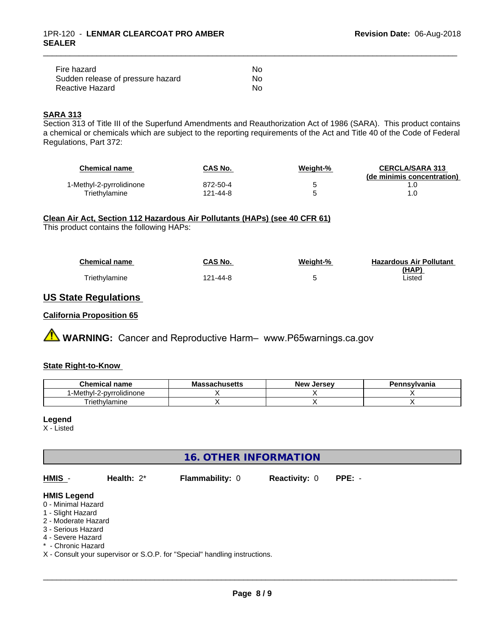| Fire hazard                       | N٥ |  |
|-----------------------------------|----|--|
| Sudden release of pressure hazard | Nο |  |
| Reactive Hazard                   | No |  |

# **SARA 313**

Section 313 of Title III of the Superfund Amendments and Reauthorization Act of 1986 (SARA). This product contains a chemical or chemicals which are subject to the reporting requirements of the Act and Title 40 of the Code of Federal Regulations, Part 372:

| <b>Chemical name</b>     | <b>CAS No.</b> | Weight-% | <b>CERCLA/SARA 313</b><br>(de minimis concentration) |
|--------------------------|----------------|----------|------------------------------------------------------|
| 1-Methyl-2-pyrrolidinone | 872-50-4       |          |                                                      |
| Triethvlamine            | 121-44-8       |          |                                                      |

\_\_\_\_\_\_\_\_\_\_\_\_\_\_\_\_\_\_\_\_\_\_\_\_\_\_\_\_\_\_\_\_\_\_\_\_\_\_\_\_\_\_\_\_\_\_\_\_\_\_\_\_\_\_\_\_\_\_\_\_\_\_\_\_\_\_\_\_\_\_\_\_\_\_\_\_\_\_\_\_\_\_\_\_\_\_\_\_\_\_\_\_\_

#### **Clean Air Act,Section 112 Hazardous Air Pollutants (HAPs) (see 40 CFR 61)**

This product contains the following HAPs:

| <b>Chemical name</b> | CAS No.  | Weight-% | <b>Hazardous Air Pollutant</b> |
|----------------------|----------|----------|--------------------------------|
|                      |          |          | (HAP)                          |
| Triethylamine        | 121-44-8 |          | Listed                         |

# **US State Regulations**

### **California Proposition 65**

# **A WARNING:** Cancer and Reproductive Harm– www.P65warnings.ca.gov

#### **State Right-to-Know**

| <b>Chemical name</b>                            | achucatte<br>IVIG:<br>-33au11u3 <del>c</del> u3 | . Jersev<br><b>Nev</b> | Pennsvlvania |
|-------------------------------------------------|-------------------------------------------------|------------------------|--------------|
| .<br>`-Methyl-∠<br>e-pyrrolidinone?<br><u>_</u> |                                                 |                        |              |
| Triethylamine                                   |                                                 |                        |              |

#### **Legend**

X - Listed

# **16. OTHER INFORMATION**

| HMIS -                                                                                                     | Health: $2^*$ | <b>Flammability: 0</b> | <b>Reactivity: 0</b> | $PPE: -$ |
|------------------------------------------------------------------------------------------------------------|---------------|------------------------|----------------------|----------|
| <b>HMIS Legend</b><br>0 - Minimal Hazard<br>1 - Slight Hazard<br>2 - Moderate Hazard<br>3 - Serious Hazard |               |                        |                      |          |
| 4 - Severe Hazard<br>* - Chronic Hazard                                                                    |               |                        |                      |          |

X - Consult your supervisor or S.O.P. for "Special" handling instructions.